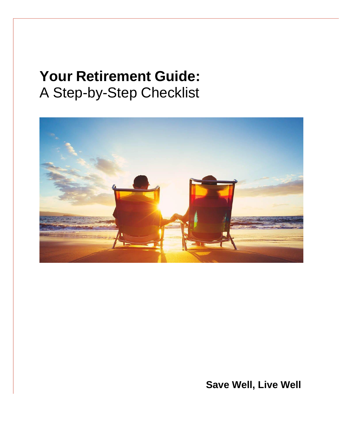# **Your Retirement Guide:** A Step-by-Step Checklist



**Save Well, Live Well**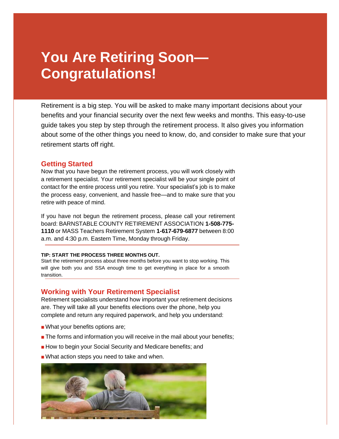# **You Are Retiring Soon— Congratulations!**

Retirement is a big step. You will be asked to make many important decisions about your benefits and your financial security over the next few weeks and months. This easy-to-use guide takes you step by step through the retirement process. It also gives you information about some of the other things you need to know, do, and consider to make sure that your retirement starts off right.

### **Getting Started**

Now that you have begun the retirement process, you will work closely with a retirement specialist. Your retirement specialist will be your single point of contact for the entire process until you retire. Your specialist's job is to make the process easy, convenient, and hassle free—and to make sure that you retire with peace of mind.

If you have not begun the retirement process, please call your retirement board: BARNSTABLE COUNTY RETIREMENT ASSOCIATION **1-508-775- 1110** or MASS Teachers Retirement System **1-617-679-6877** between 8:00 a.m. and 4:30 p.m. Eastern Time, Monday through Friday.

#### **TIP: START THE PROCESS THREE MONTHS OUT.**

Start the retirement process about three months before you want to stop working. This will give both you and SSA enough time to get everything in place for a smooth transition.

## **Working with Your Retirement Specialist**

Retirement specialists understand how important your retirement decisions are. They will take all your benefits elections over the phone, help you complete and return any required paperwork, and help you understand:

- What your benefits options are;
- The forms and information you will receive in the mail about your benefits;
- How to begin your Social Security and Medicare benefits; and
- What action steps you need to take and when.

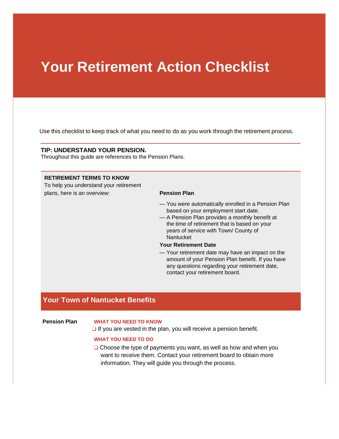# **Your Retirement Action Checklist**

Use this checklist to keep track of what you need to do as you work through the retirement process.

#### **TIP: UNDERSTAND YOUR PENSION.**

Throughout this guide are references to the Pension Plans.

#### **RETIREMENT TERMS TO KNOW**

To help you understand your retirement plans, here is an overview: **Pension Plan**

- You were automatically enrolled in a Pension Plan based on your employment start date.
- A Pension Plan provides a monthly benefit at the time of retirement that is based on your years of service with Town/ County of Nantucket

#### **Your Retirement Date**

— Your retirement date may have an impact on the amount of your Pension Plan benefit. If you have any questions regarding your retirement date, contact your retirement board.

# **Your Town of Nantucket Benefits**

### **Pension Plan WHAT YOU NEED TO KNOW**

 $\Box$  If you are vested in the plan, you will receive a pension benefit.

#### **WHAT YOU NEED TO DO**

❑ Choose the type of payments you want, as well as how and when you want to receive them. Contact your retirement board to obtain more information. They will guide you through the process.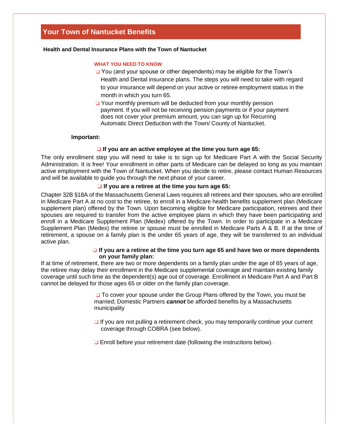# **Your Town of Nantucket Benefits**

#### **Health and Dental Insurance Plans with the Town of Nantucket**

#### **WHAT YOU NEED TO KNOW**

- ❑ You (and your spouse or other dependents) may be eligible for the Town's Health and Dental insurance plans. The steps you will need to take with regard to your insurance will depend on your active or retiree employment status in the month in which you turn 65.
- ❑ Your monthly premium will be deducted from your monthly pension payment. If you will not be receiving pension payments or if your payment does not cover your premium amount, you can sign up for Recurring Automatic Direct Deduction with the Town/ County of Nantucket.

#### **Important:**

#### ❑ **If you are an active employee at the time you turn age 65:**

The only enrollment step you will need to take is to sign up for Medicare Part A with the Social Security Administration. It is free! Your enrollment in other parts of Medicare can be delayed so long as you maintain active employment with the Town of Nantucket. When you decide to retire, please contact Human Resources and will be available to guide you through the next phase of your career.

#### ❑ **If you are a retiree at the time you turn age 65:**

Chapter 32B §18A of the Massachusetts General Laws requires all retirees and their spouses, who are enrolled in Medicare Part A at no cost to the retiree, to enroll in a Medicare health benefits supplement plan (Medicare supplement plan) offered by the Town. Upon becoming eligible for Medicare participation, retirees and their spouses are required to transfer from the active employee plans in which they have been participating and enroll in a Medicare Supplement Plan (Medex) offered by the Town. In order to participate in a Medicare Supplement Plan (Medex) the retiree or spouse must be enrolled in Medicare Parts A & B. If at the time of retirement, a spouse on a family plan is the under 65 years of age, they will be transferred to an individual active plan.

#### ❑ **If you are a retiree at the time you turn age 65 and have two or more dependents on your family plan:**

If at time of retirement, there are two or more dependents on a family plan under the age of 65 years of age, the retiree may delay their enrollment in the Medicare supplemental coverage and maintain existing family coverage until such time as the dependent(s) age out of coverage. Enrollment in Medicare Part A and Part B cannot be delayed for those ages 65 or older on the family plan coverage.

> ❑ To cover your spouse under the Group Plans offered by the Town, you must be married; Domestic Partners *cannot* be afforded benefits by a Massachusetts municipality

❑ If you are not pulling a retirement check, you may temporarily continue your current coverage through COBRA (see below).

❑ Enroll before your retirement date (following the instructions below).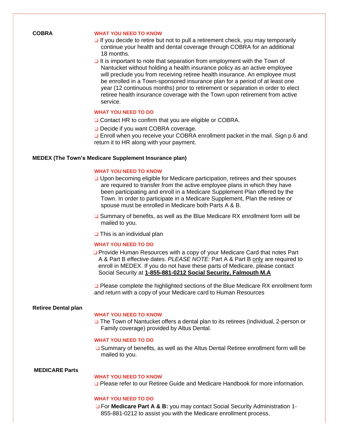#### **COBRA WHAT YOU NEED TO KNOW**

- ❑ If you decide to retire but not to pull a retirement check, you may temporarily continue your health and dental coverage through COBRA for an additional 18 months.
- $\Box$  It is important to note that separation from employment with the Town of Nantucket without holding a health insurance policy as an active employee will preclude you from receiving retiree health insurance. An employee must be enrolled in a Town-sponsored insurance plan for a period of at least one year (12 continuous months) prior to retirement or separation in order to elect retiree health insurance coverage with the Town upon retirement from active service.

#### **WHAT YOU NEED TO DO**

- ❑ Contact HR to confirm that you are eligible or COBRA.
- ❑ Decide if you want COBRA coverage.

❑ Enroll when you receive your COBRA enrollment packet in the mail. Sign p.6 and return it to HR along with your payment.

#### **MEDEX (The Town's Medicare Supplement Insurance plan)**

#### **WHAT YOU NEED TO KNOW**

- ❑ Upon becoming eligible for Medicare participation, retirees and their spouses are required to transfer from the active employee plans in which they have been participating and enroll in a Medicare Supplement Plan offered by the Town. In order to participate in a Medicare Supplement, Plan the retiree or spouse must be enrolled in Medicare both Parts A & B.
- ❑ Summary of benefits, as well as the Blue Medicare RX enrollment form will be mailed to you.
- ❑ This is an individual plan

#### **WHAT YOU NEED TO DO**

❑ Provide Human Resources with a copy of your Medicare Card that notes Part A & Part B effective dates. *PLEASE NOTE:* Part A & Part B only are required to enroll in MEDEX. If you do not have these parts of Medicare, please contact Social Security at **1-855-881-0212 Social Security, Falmouth M.A**

❑ Please complete the highlighted sections of the Blue Medicare RX enrollment form and return with a copy of your Medicare card to Human Resources

#### **Retiree Dental plan**

#### **WHAT YOU NEED TO KNOW**

❑ The Town of Nantucket offers a dental plan to its retirees (individual, 2-person or Family coverage) provided by Altus Dental.

#### **WHAT YOU NEED TO DO**

❑ Summary of benefits, as well as the Altus Dental Retiree enrollment form will be mailed to you.

#### **MEDICARE Parts**

#### **WHAT YOU NEED TO KNOW**

❑ Please refer to our Retiree Guide and Medicare Handbook for more information.

#### **WHAT YOU NEED TO DO**

❑ For **Medicare Part A & B:** you may contact Social Security Administration 1- 855-881-0212 to assist you with the Medicare enrollment process.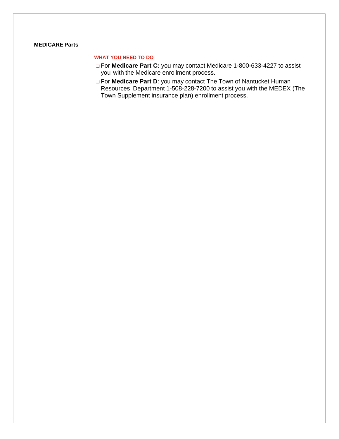#### **MEDICARE Parts**

#### **WHAT YOU NEED TO DO**

- ❑ For **Medicare Part C:** you may contact Medicare 1-800-633-4227 to assist you with the Medicare enrollment process.
- ❑ For **Medicare Part D**: you may contact The Town of Nantucket Human Resources Department 1-508-228-7200 to assist you with the MEDEX (The Town Supplement insurance plan) enrollment process.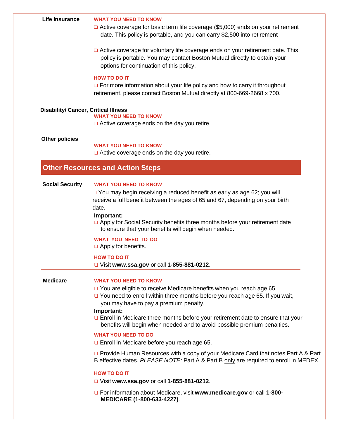#### **Life Insurance WHAT YOU NEED TO KNOW**

- ❑ Active coverage for basic term life coverage (\$5,000) ends on your retirement date. This policy is portable, and you can carry \$2,500 into retirement
- ❑ Active coverage for voluntary life coverage ends on your retirement date. This policy is portable. You may contact Boston Mutual directly to obtain your options for continuation of this policy.

### **HOW TO DO IT**

□ For more information about your life policy and how to carry it throughout retirement, please contact Boston Mutual directly at 800-669-2668 x 700.

# **Disability/ Cancer, Critical Illness**

#### **WHAT YOU NEED TO KNOW**

❑ Active coverage ends on the day you retire.

#### **Other policies**

#### **WHAT YOU NEED TO KNOW**

❑ Active coverage ends on the day you retire.

## **Other Resources and Action Steps**

#### **Social Security WHAT YOU NEED TO KNOW**

❑ You may begin receiving a reduced benefit as early as age 62; you will receive a full benefit between the ages of 65 and 67, depending on your birth date.

#### **Important:**

❑ Apply for Social Security benefits three months before your retirement date to ensure that your benefits will begin when needed.

#### **WHAT YOU NEED TO DO**

❑ Apply for benefits.

#### **HOW TO DO IT**

❑ Visit **[www.ssa.gov](http://www.ssa.gov/)** or call **1-855-881-0212**.

#### **Medicare WHAT YOU NEED TO KNOW**

- ❑ You are eligible to receive Medicare benefits when you reach age 65.
- ❑ You need to enroll within three months before you reach age 65. If you wait, you may have to pay a premium penalty.

#### **Important:**

❑ Enroll in Medicare three months before your retirement date to ensure that your benefits will begin when needed and to avoid possible premium penalties.

#### **WHAT YOU NEED TO DO**

❑ Enroll in Medicare before you reach age 65.

❑ Provide Human Resources with a copy of your Medicare Card that notes Part A & Part B effective dates. *PLEASE NOTE:* Part A & Part B only are required to enroll in MEDEX.

#### **HOW TO DO IT**

- ❑ Visit **[www.ssa.gov](http://www.ssa.gov/)** or call **1-855-881-0212**.
- ❑ For information about Medicare, visit **[www.medicare.gov](http://www.medicare.gov/)** or call **1-800- MEDICARE (1-800-633-4227)**.